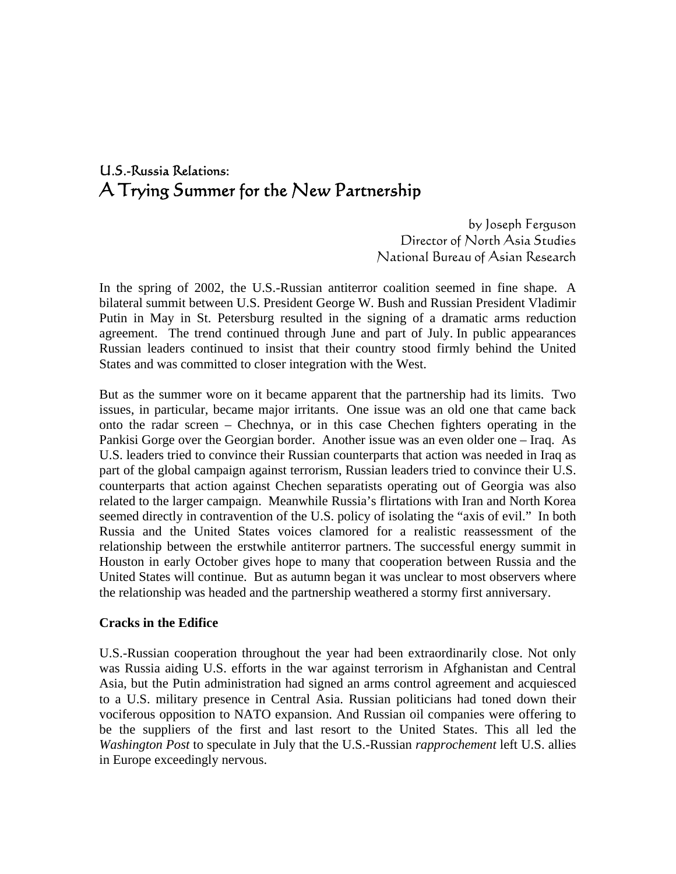# U.S.-Russia Relations: A Trying Summer for the New Partnership

by Joseph Ferguson Director of North Asia Studies National Bureau of Asian Research

In the spring of 2002, the U.S.-Russian antiterror coalition seemed in fine shape. A bilateral summit between U.S. President George W. Bush and Russian President Vladimir Putin in May in St. Petersburg resulted in the signing of a dramatic arms reduction agreement. The trend continued through June and part of July. In public appearances Russian leaders continued to insist that their country stood firmly behind the United States and was committed to closer integration with the West.

But as the summer wore on it became apparent that the partnership had its limits. Two issues, in particular, became major irritants. One issue was an old one that came back onto the radar screen – Chechnya, or in this case Chechen fighters operating in the Pankisi Gorge over the Georgian border. Another issue was an even older one – Iraq. As U.S. leaders tried to convince their Russian counterparts that action was needed in Iraq as part of the global campaign against terrorism, Russian leaders tried to convince their U.S. counterparts that action against Chechen separatists operating out of Georgia was also related to the larger campaign. Meanwhile Russia's flirtations with Iran and North Korea seemed directly in contravention of the U.S. policy of isolating the "axis of evil." In both Russia and the United States voices clamored for a realistic reassessment of the relationship between the erstwhile antiterror partners. The successful energy summit in Houston in early October gives hope to many that cooperation between Russia and the United States will continue. But as autumn began it was unclear to most observers where the relationship was headed and the partnership weathered a stormy first anniversary.

#### **Cracks in the Edifice**

U.S.-Russian cooperation throughout the year had been extraordinarily close. Not only was Russia aiding U.S. efforts in the war against terrorism in Afghanistan and Central Asia, but the Putin administration had signed an arms control agreement and acquiesced to a U.S. military presence in Central Asia. Russian politicians had toned down their vociferous opposition to NATO expansion. And Russian oil companies were offering to be the suppliers of the first and last resort to the United States. This all led the *Washington Post* to speculate in July that the U.S.-Russian *rapprochement* left U.S. allies in Europe exceedingly nervous.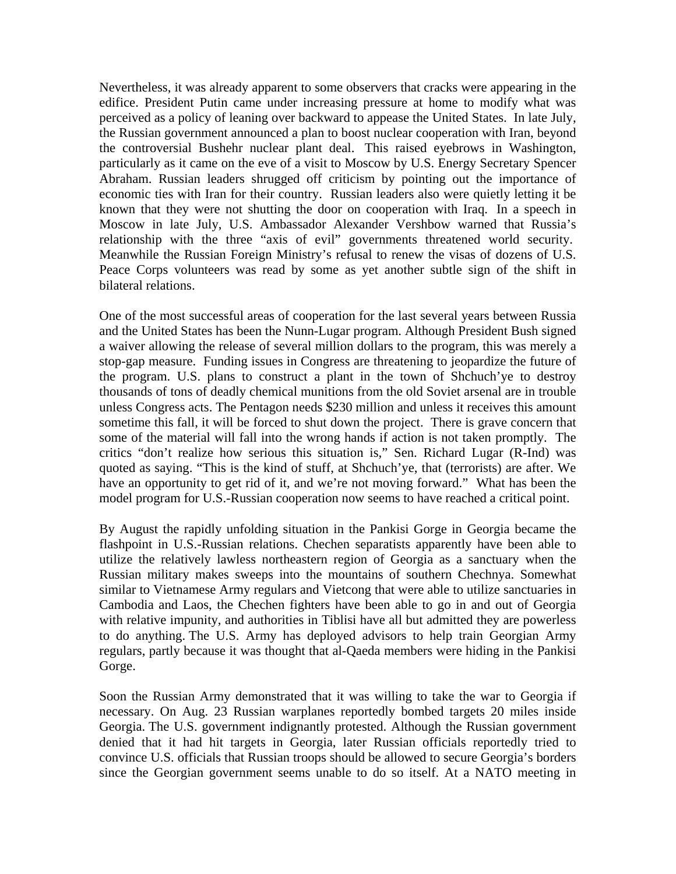Nevertheless, it was already apparent to some observers that cracks were appearing in the edifice. President Putin came under increasing pressure at home to modify what was perceived as a policy of leaning over backward to appease the United States. In late July, the Russian government announced a plan to boost nuclear cooperation with Iran, beyond the controversial Bushehr nuclear plant deal. This raised eyebrows in Washington, particularly as it came on the eve of a visit to Moscow by U.S. Energy Secretary Spencer Abraham. Russian leaders shrugged off criticism by pointing out the importance of economic ties with Iran for their country. Russian leaders also were quietly letting it be known that they were not shutting the door on cooperation with Iraq. In a speech in Moscow in late July, U.S. Ambassador Alexander Vershbow warned that Russia's relationship with the three "axis of evil" governments threatened world security. Meanwhile the Russian Foreign Ministry's refusal to renew the visas of dozens of U.S. Peace Corps volunteers was read by some as yet another subtle sign of the shift in bilateral relations.

One of the most successful areas of cooperation for the last several years between Russia and the United States has been the Nunn-Lugar program. Although President Bush signed a waiver allowing the release of several million dollars to the program, this was merely a stop-gap measure. Funding issues in Congress are threatening to jeopardize the future of the program. U.S. plans to construct a plant in the town of Shchuch'ye to destroy thousands of tons of deadly chemical munitions from the old Soviet arsenal are in trouble unless Congress acts. The Pentagon needs \$230 million and unless it receives this amount sometime this fall, it will be forced to shut down the project. There is grave concern that some of the material will fall into the wrong hands if action is not taken promptly. The critics "don't realize how serious this situation is," Sen. Richard Lugar (R-Ind) was quoted as saying. "This is the kind of stuff, at Shchuch'ye, that (terrorists) are after. We have an opportunity to get rid of it, and we're not moving forward." What has been the model program for U.S.-Russian cooperation now seems to have reached a critical point.

By August the rapidly unfolding situation in the Pankisi Gorge in Georgia became the flashpoint in U.S.-Russian relations. Chechen separatists apparently have been able to utilize the relatively lawless northeastern region of Georgia as a sanctuary when the Russian military makes sweeps into the mountains of southern Chechnya. Somewhat similar to Vietnamese Army regulars and Vietcong that were able to utilize sanctuaries in Cambodia and Laos, the Chechen fighters have been able to go in and out of Georgia with relative impunity, and authorities in Tiblisi have all but admitted they are powerless to do anything. The U.S. Army has deployed advisors to help train Georgian Army regulars, partly because it was thought that al-Qaeda members were hiding in the Pankisi Gorge.

Soon the Russian Army demonstrated that it was willing to take the war to Georgia if necessary. On Aug. 23 Russian warplanes reportedly bombed targets 20 miles inside Georgia. The U.S. government indignantly protested. Although the Russian government denied that it had hit targets in Georgia, later Russian officials reportedly tried to convince U.S. officials that Russian troops should be allowed to secure Georgia's borders since the Georgian government seems unable to do so itself. At a NATO meeting in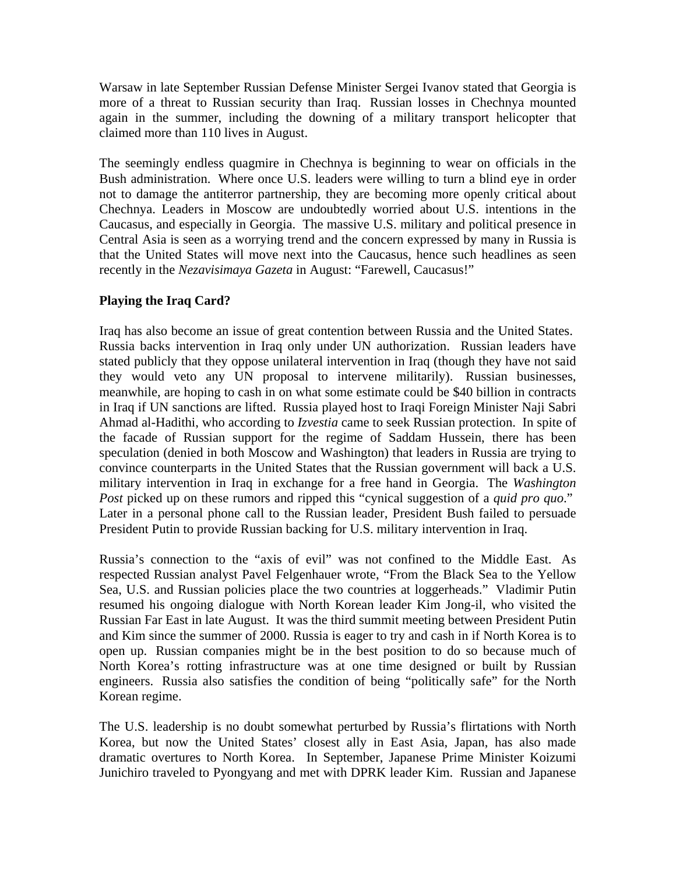Warsaw in late September Russian Defense Minister Sergei Ivanov stated that Georgia is more of a threat to Russian security than Iraq. Russian losses in Chechnya mounted again in the summer, including the downing of a military transport helicopter that claimed more than 110 lives in August.

The seemingly endless quagmire in Chechnya is beginning to wear on officials in the Bush administration. Where once U.S. leaders were willing to turn a blind eye in order not to damage the antiterror partnership, they are becoming more openly critical about Chechnya. Leaders in Moscow are undoubtedly worried about U.S. intentions in the Caucasus, and especially in Georgia. The massive U.S. military and political presence in Central Asia is seen as a worrying trend and the concern expressed by many in Russia is that the United States will move next into the Caucasus, hence such headlines as seen recently in the *Nezavisimaya Gazeta* in August: "Farewell, Caucasus!"

## **Playing the Iraq Card?**

Iraq has also become an issue of great contention between Russia and the United States. Russia backs intervention in Iraq only under UN authorization. Russian leaders have stated publicly that they oppose unilateral intervention in Iraq (though they have not said they would veto any UN proposal to intervene militarily). Russian businesses, meanwhile, are hoping to cash in on what some estimate could be \$40 billion in contracts in Iraq if UN sanctions are lifted. Russia played host to Iraqi Foreign Minister Naji Sabri Ahmad al-Hadithi, who according to *Izvestia* came to seek Russian protection. In spite of the facade of Russian support for the regime of Saddam Hussein, there has been speculation (denied in both Moscow and Washington) that leaders in Russia are trying to convince counterparts in the United States that the Russian government will back a U.S. military intervention in Iraq in exchange for a free hand in Georgia. The *Washington Post* picked up on these rumors and ripped this "cynical suggestion of a *quid pro quo*." Later in a personal phone call to the Russian leader, President Bush failed to persuade President Putin to provide Russian backing for U.S. military intervention in Iraq.

Russia's connection to the "axis of evil" was not confined to the Middle East. As respected Russian analyst Pavel Felgenhauer wrote, "From the Black Sea to the Yellow Sea, U.S. and Russian policies place the two countries at loggerheads." Vladimir Putin resumed his ongoing dialogue with North Korean leader Kim Jong-il, who visited the Russian Far East in late August. It was the third summit meeting between President Putin and Kim since the summer of 2000. Russia is eager to try and cash in if North Korea is to open up. Russian companies might be in the best position to do so because much of North Korea's rotting infrastructure was at one time designed or built by Russian engineers. Russia also satisfies the condition of being "politically safe" for the North Korean regime.

The U.S. leadership is no doubt somewhat perturbed by Russia's flirtations with North Korea, but now the United States' closest ally in East Asia, Japan, has also made dramatic overtures to North Korea. In September, Japanese Prime Minister Koizumi Junichiro traveled to Pyongyang and met with DPRK leader Kim. Russian and Japanese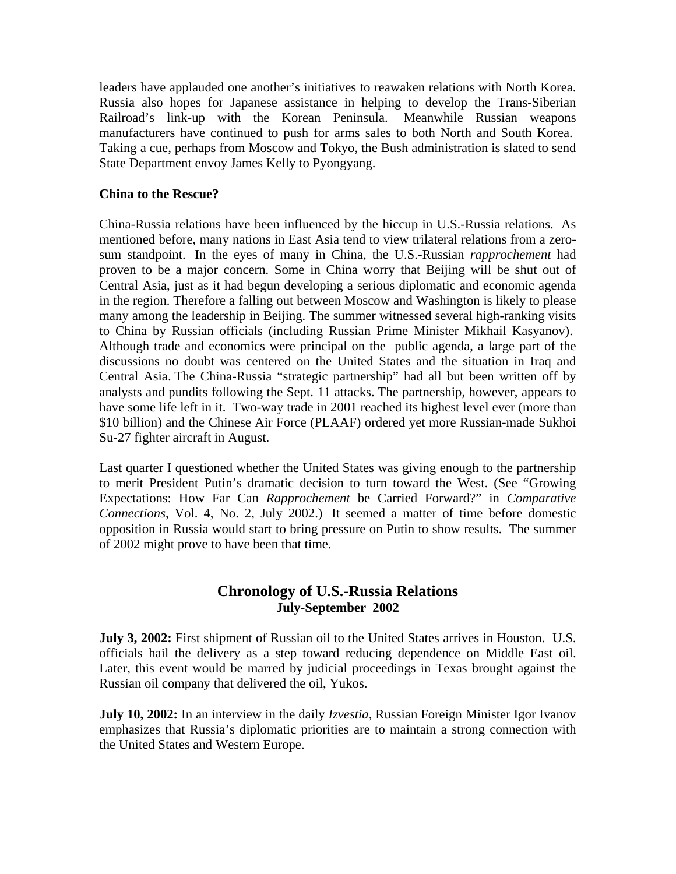leaders have applauded one another's initiatives to reawaken relations with North Korea. Russia also hopes for Japanese assistance in helping to develop the Trans-Siberian Railroad's link-up with the Korean Peninsula. Meanwhile Russian weapons manufacturers have continued to push for arms sales to both North and South Korea. Taking a cue, perhaps from Moscow and Tokyo, the Bush administration is slated to send State Department envoy James Kelly to Pyongyang.

#### **China to the Rescue?**

China-Russia relations have been influenced by the hiccup in U.S.-Russia relations. As mentioned before, many nations in East Asia tend to view trilateral relations from a zerosum standpoint. In the eyes of many in China, the U.S.-Russian *rapprochement* had proven to be a major concern. Some in China worry that Beijing will be shut out of Central Asia, just as it had begun developing a serious diplomatic and economic agenda in the region. Therefore a falling out between Moscow and Washington is likely to please many among the leadership in Beijing. The summer witnessed several high-ranking visits to China by Russian officials (including Russian Prime Minister Mikhail Kasyanov). Although trade and economics were principal on the public agenda, a large part of the discussions no doubt was centered on the United States and the situation in Iraq and Central Asia. The China-Russia "strategic partnership" had all but been written off by analysts and pundits following the Sept. 11 attacks. The partnership, however, appears to have some life left in it. Two-way trade in 2001 reached its highest level ever (more than \$10 billion) and the Chinese Air Force (PLAAF) ordered yet more Russian-made Sukhoi Su-27 fighter aircraft in August.

Last quarter I questioned whether the United States was giving enough to the partnership to merit President Putin's dramatic decision to turn toward the West. (See "Growing Expectations: How Far Can *Rapprochement* be Carried Forward?" in *Comparative Connections*, Vol. 4, No. 2, July 2002.) It seemed a matter of time before domestic opposition in Russia would start to bring pressure on Putin to show results. The summer of 2002 might prove to have been that time.

## **Chronology of U.S.-Russia Relations July-September 2002**

**July 3, 2002:** First shipment of Russian oil to the United States arrives in Houston. U.S. officials hail the delivery as a step toward reducing dependence on Middle East oil. Later, this event would be marred by judicial proceedings in Texas brought against the Russian oil company that delivered the oil, Yukos.

**July 10, 2002:** In an interview in the daily *Izvestia,* Russian Foreign Minister Igor Ivanov emphasizes that Russia's diplomatic priorities are to maintain a strong connection with the United States and Western Europe.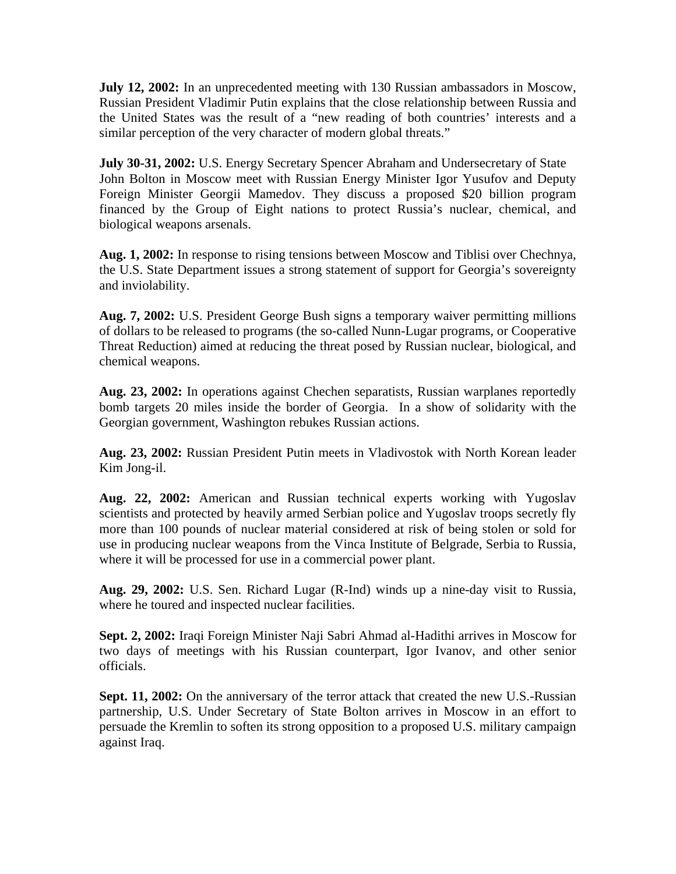**July 12, 2002:** In an unprecedented meeting with 130 Russian ambassadors in Moscow, Russian President Vladimir Putin explains that the close relationship between Russia and the United States was the result of a "new reading of both countries' interests and a similar perception of the very character of modern global threats."

**July 30-31, 2002:** U.S. Energy Secretary Spencer Abraham and Undersecretary of State John Bolton in Moscow meet with Russian Energy Minister Igor Yusufov and Deputy Foreign Minister Georgii Mamedov. They discuss a proposed \$20 billion program financed by the Group of Eight nations to protect Russia's nuclear, chemical, and biological weapons arsenals.

**Aug. 1, 2002:** In response to rising tensions between Moscow and Tiblisi over Chechnya, the U.S. State Department issues a strong statement of support for Georgia's sovereignty and inviolability.

**Aug. 7, 2002:** U.S. President George Bush signs a temporary waiver permitting millions of dollars to be released to programs (the so-called Nunn-Lugar programs, or Cooperative Threat Reduction) aimed at reducing the threat posed by Russian nuclear, biological, and chemical weapons.

**Aug. 23, 2002:** In operations against Chechen separatists, Russian warplanes reportedly bomb targets 20 miles inside the border of Georgia. In a show of solidarity with the Georgian government, Washington rebukes Russian actions.

**Aug. 23, 2002:** Russian President Putin meets in Vladivostok with North Korean leader Kim Jong-il.

**Aug. 22, 2002:** American and Russian technical experts working with Yugoslav scientists and protected by heavily armed Serbian police and Yugoslav troops secretly fly more than 100 pounds of nuclear material considered at risk of being stolen or sold for use in producing nuclear weapons from the Vinca Institute of Belgrade, Serbia to Russia, where it will be processed for use in a commercial power plant.

**Aug. 29, 2002:** U.S. Sen. Richard Lugar (R-Ind) winds up a nine-day visit to Russia, where he toured and inspected nuclear facilities.

**Sept. 2, 2002:** Iraqi Foreign Minister Naji Sabri Ahmad al-Hadithi arrives in Moscow for two days of meetings with his Russian counterpart, Igor Ivanov, and other senior officials.

**Sept. 11, 2002:** On the anniversary of the terror attack that created the new U.S.-Russian partnership, U.S. Under Secretary of State Bolton arrives in Moscow in an effort to persuade the Kremlin to soften its strong opposition to a proposed U.S. military campaign against Iraq.